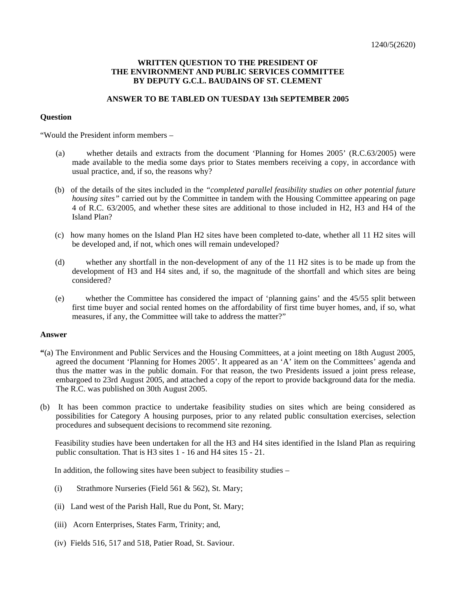## **WRITTEN QUESTION TO THE PRESIDENT OF THE ENVIRONMENT AND PUBLIC SERVICES COMMITTEE BY DEPUTY G.C.L. BAUDAINS OF ST. CLEMENT**

## **ANSWER TO BE TABLED ON TUESDAY 13th SEPTEMBER 2005**

## **Question**

"Would the President inform members –

- (a) whether details and extracts from the document 'Planning for Homes 2005' (R.C.63/2005) were made available to the media some days prior to States members receiving a copy, in accordance with usual practice, and, if so, the reasons why?
- (b) of the details of the sites included in the *"completed parallel feasibility studies on other potential future housing sites"* carried out by the Committee in tandem with the Housing Committee appearing on page 4 of R.C. 63/2005, and whether these sites are additional to those included in H2, H3 and H4 of the Island Plan?
- (c) how many homes on the Island Plan H2 sites have been completed to-date, whether all 11 H2 sites will be developed and, if not, which ones will remain undeveloped?
- (d) whether any shortfall in the non-development of any of the 11 H2 sites is to be made up from the development of H3 and H4 sites and, if so, the magnitude of the shortfall and which sites are being considered?
- (e) whether the Committee has considered the impact of 'planning gains' and the 45/55 split between first time buyer and social rented homes on the affordability of first time buyer homes, and, if so, what measures, if any, the Committee will take to address the matter?"

## **Answer**

- **"**(a) The Environment and Public Services and the Housing Committees, at a joint meeting on 18th August 2005, agreed the document 'Planning for Homes 2005'. It appeared as an 'A' item on the Committees' agenda and thus the matter was in the public domain. For that reason, the two Presidents issued a joint press release, embargoed to 23rd August 2005, and attached a copy of the report to provide background data for the media. The R.C. was published on 30th August 2005.
- (b) It has been common practice to undertake feasibility studies on sites which are being considered as possibilities for Category A housing purposes, prior to any related public consultation exercises, selection procedures and subsequent decisions to recommend site rezoning.

 Feasibility studies have been undertaken for all the H3 and H4 sites identified in the Island Plan as requiring public consultation. That is H3 sites 1 - 16 and H4 sites 15 - 21.

In addition, the following sites have been subject to feasibility studies –

- (i) Strathmore Nurseries (Field 561 & 562), St. Mary;
- (ii) Land west of the Parish Hall, Rue du Pont, St. Mary;
- (iii) Acorn Enterprises, States Farm, Trinity; and,
- (iv) Fields 516, 517 and 518, Patier Road, St. Saviour.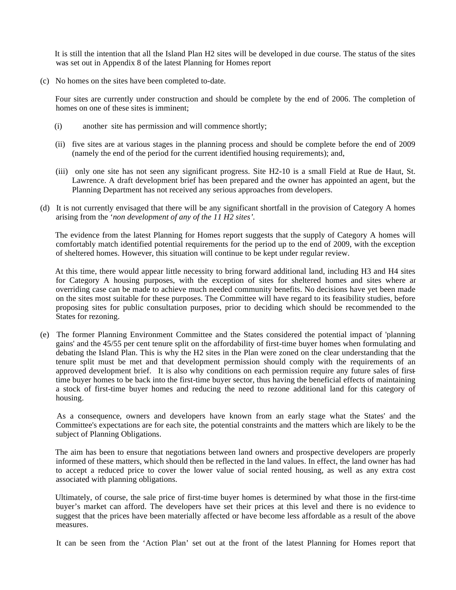It is still the intention that all the Island Plan H2 sites will be developed in due course. The status of the sites was set out in Appendix 8 of the latest Planning for Homes report

(c) No homes on the sites have been completed to-date.

 Four sites are currently under construction and should be complete by the end of 2006. The completion of homes on one of these sites is imminent;

- (i) another site has permission and will commence shortly;
- (ii) five sites are at various stages in the planning process and should be complete before the end of 2009 (namely the end of the period for the current identified housing requirements); and,
- (iii) only one site has not seen any significant progress. Site H2-10 is a small Field at Rue de Haut, St. Lawrence. A draft development brief has been prepared and the owner has appointed an agent, but the Planning Department has not received any serious approaches from developers.
- (d) It is not currently envisaged that there will be any significant shortfall in the provision of Category A homes arising from the '*non development of any of the 11 H2 sites'.*

The evidence from the latest Planning for Homes report suggests that the supply of Category A homes will comfortably match identified potential requirements for the period up to the end of 2009, with the exception of sheltered homes. However, this situation will continue to be kept under regular review.

 At this time, there would appear little necessity to bring forward additional land, including H3 and H4 sites for Category A housing purposes, with the exception of sites for sheltered homes and sites where an overriding case can be made to achieve much needed community benefits. No decisions have yet been made on the sites most suitable for these purposes. The Committee will have regard to its feasibility studies, before proposing sites for public consultation purposes, prior to deciding which should be recommended to the States for rezoning.

(e) The former Planning Environment Committee and the States considered the potential impact of 'planning gains' and the 45/55 per cent tenure split on the affordability of first-time buyer homes when formulating and debating the Island Plan. This is why the H2 sites in the Plan were zoned on the clear understanding that the tenure split must be met and that development permission should comply with the requirements of an approved development brief. It is also why conditions on each permission require any future sales of firsttime buyer homes to be back into the first-time buyer sector, thus having the beneficial effects of maintaining a stock of first-time buyer homes and reducing the need to rezone additional land for this category of housing.

 As a consequence, owners and developers have known from an early stage what the States' and the Committee's expectations are for each site, the potential constraints and the matters which are likely to be the subject of Planning Obligations.

 The aim has been to ensure that negotiations between land owners and prospective developers are properly informed of these matters, which should then be reflected in the land values. In effect, the land owner has had to accept a reduced price to cover the lower value of social rented housing, as well as any extra cost associated with planning obligations.

 Ultimately, of course, the sale price of first-time buyer homes is determined by what those in the first-time buyer's market can afford. The developers have set their prices at this level and there is no evidence to suggest that the prices have been materially affected or have become less affordable as a result of the above measures.

It can be seen from the 'Action Plan' set out at the front of the latest Planning for Homes report that